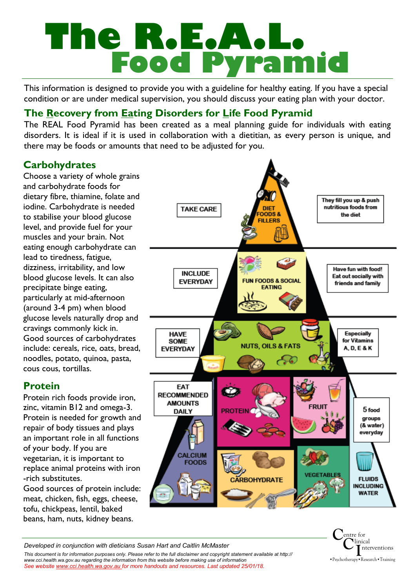# **The R.E.A.L. Food Pyramid**

This information is designed to provide you with a guideline for healthy eating. If you have a special condition or are under medical supervision, you should discuss your eating plan with your doctor.

# **The Recovery from Eating Disorders for Life Food Pyramid**

The REAL Food Pyramid has been created as a meal planning guide for individuals with eating disorders. It is ideal if it is used in collaboration with a dietitian, as every person is unique, and there may be foods or amounts that need to be adjusted for you.

# **Carbohydrates**

Choose a variety of whole grains and carbohydrate foods for dietary fibre, thiamine, folate and iodine. Carbohydrate is needed to stabilise your blood glucose level, and provide fuel for your muscles and your brain. Not eating enough carbohydrate can lead to tiredness, fatigue, dizziness, irritability, and low blood glucose levels. It can also precipitate binge eating, particularly at mid-afternoon (around 3-4 pm) when blood glucose levels naturally drop and cravings commonly kick in. Good sources of carbohydrates include: cereals, rice, oats, bread, noodles, potato, quinoa, pasta, cous cous, tortillas.

## **Protein**

Protein rich foods provide iron, zinc, vitamin B12 and omega-3. Protein is needed for growth and repair of body tissues and plays an important role in all functions of your body. If you are vegetarian, it is important to replace animal proteins with iron -rich substitutes.

Good sources of protein include: meat, chicken, fish, eggs, cheese, tofu, chickpeas, lentil, baked beans, ham, nuts, kidney beans.





*Developed in conjunction with dieticians Susan Hart and Caitlin McMaster*

*This document is for information purposes only. Please refer to the full disclaimer and copyright statement available at http:// www.cci.health.wa.gov.au regarding the information from this website before making use of information See website www.cci.health.wa.gov.au for more handouts and resources. Last updated 25/01/18.*